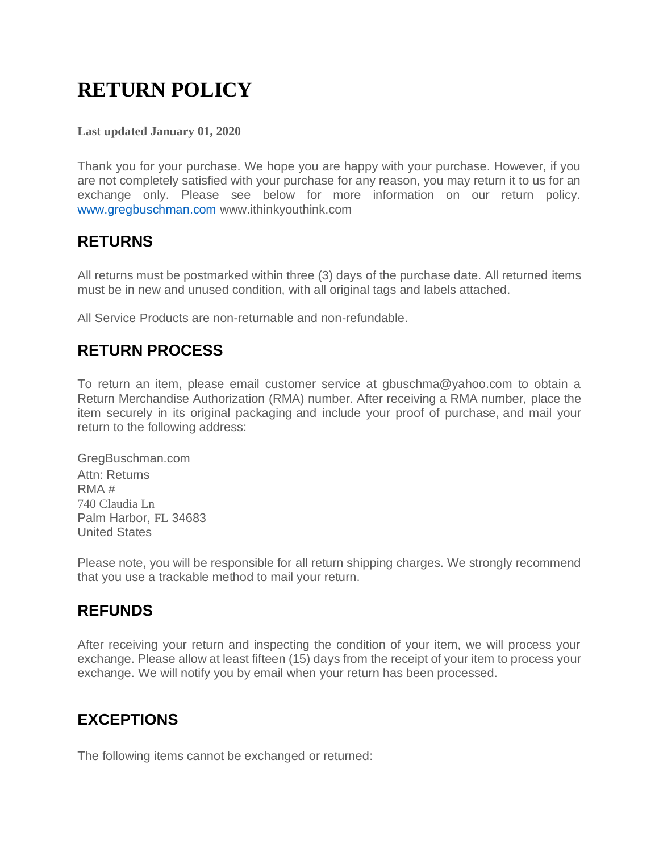# **RETURN POLICY**

#### **Last updated January 01, 2020**

Thank you for your purchase. We hope you are happy with your purchase. However, if you are not completely satisfied with your purchase for any reason, you may return it to us for an exchange only. Please see below for more information on our return policy. [www.gregbuschman.com](http://www.gregbuschman.com/) www.ithinkyouthink.com

#### **RETURNS**

All returns must be postmarked within three (3) days of the purchase date. All returned items must be in new and unused condition, with all original tags and labels attached.

All Service Products are non-returnable and non-refundable.

# **RETURN PROCESS**

To return an item, please email customer service at gbuschma@yahoo.com to obtain a Return Merchandise Authorization (RMA) number. After receiving a RMA number, place the item securely in its original packaging and include your proof of purchase, and mail your return to the following address:

GregBuschman.com Attn: Returns RMA # 740 Claudia Ln Palm Harbor, FL 34683 United States

Please note, you will be responsible for all return shipping charges. We strongly recommend that you use a trackable method to mail your return.

## **REFUNDS**

After receiving your return and inspecting the condition of your item, we will process your exchange. Please allow at least fifteen (15) days from the receipt of your item to process your exchange. We will notify you by email when your return has been processed.

## **EXCEPTIONS**

The following items cannot be exchanged or returned: